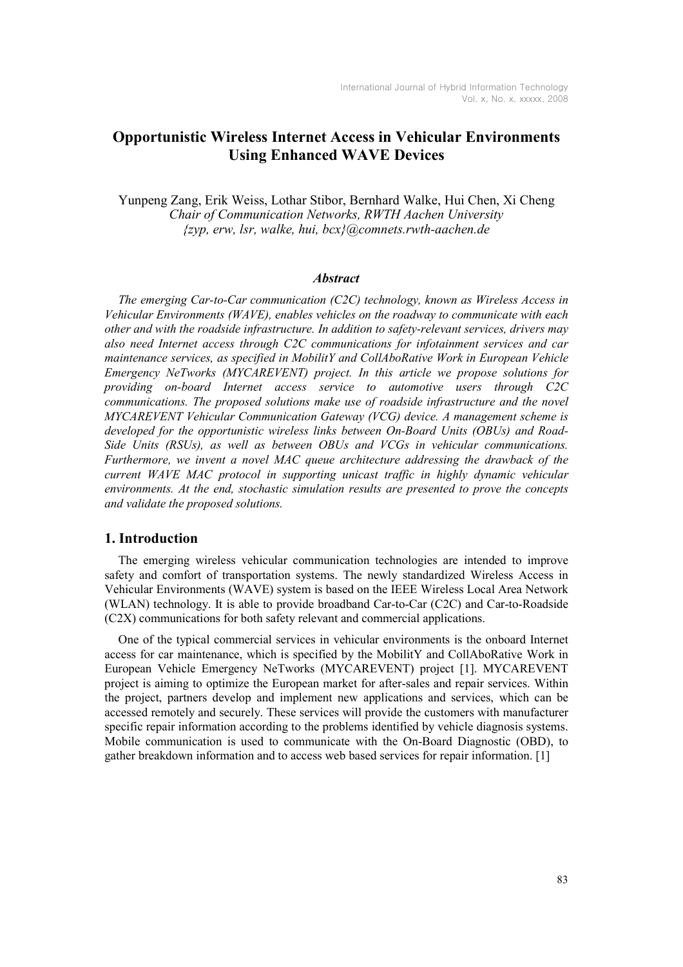# Opportunistic Wireless Internet Access in Vehicular Environments Using Enhanced WAVE Devices

Yunpeng Zang, Erik Weiss, Lothar Stibor, Bernhard Walke, Hui Chen, Xi Cheng Chair of Communication Networks, RWTH Aachen University  ${zyp, erw, Isr, walke, hui, bcx}$  (a) comnets.rwth-aachen.de

#### Abstract

The emerging Car-to-Car communication (C2C) technology, known as Wireless Access in Vehicular Environments (WAVE), enables vehicles on the roadway to communicate with each other and with the roadside infrastructure. In addition to safety-relevant services, drivers may also need Internet access through C2C communications for infotainment services and car maintenance services, as specified in MobilitY and CollAboRative Work in European Vehicle Emergency NeTworks (MYCAREVENT) project. In this article we propose solutions for providing on-board Internet access service to automotive users through C2C communications. The proposed solutions make use of roadside infrastructure and the novel MYCAREVENT Vehicular Communication Gateway (VCG) device. A management scheme is developed for the opportunistic wireless links between On-Board Units (OBUs) and Road-Side Units (RSUs), as well as between OBUs and VCGs in vehicular communications. Furthermore, we invent a novel MAC queue architecture addressing the drawback of the current WAVE MAC protocol in supporting unicast traffic in highly dynamic vehicular environments. At the end, stochastic simulation results are presented to prove the concepts and validate the proposed solutions.

### 1. Introduction

The emerging wireless vehicular communication technologies are intended to improve safety and comfort of transportation systems. The newly standardized Wireless Access in Vehicular Environments (WAVE) system is based on the IEEE Wireless Local Area Network (WLAN) technology. It is able to provide broadband Car-to-Car (C2C) and Car-to-Roadside (C2X) communications for both safety relevant and commercial applications.

One of the typical commercial services in vehicular environments is the onboard Internet access for car maintenance, which is specified by the MobilitY and CollAboRative Work in European Vehicle Emergency NeTworks (MYCAREVENT) project [1]. MYCAREVENT project is aiming to optimize the European market for after-sales and repair services. Within the project, partners develop and implement new applications and services, which can be accessed remotely and securely. These services will provide the customers with manufacturer specific repair information according to the problems identified by vehicle diagnosis systems. Mobile communication is used to communicate with the On-Board Diagnostic (OBD), to gather breakdown information and to access web based services for repair information. [1]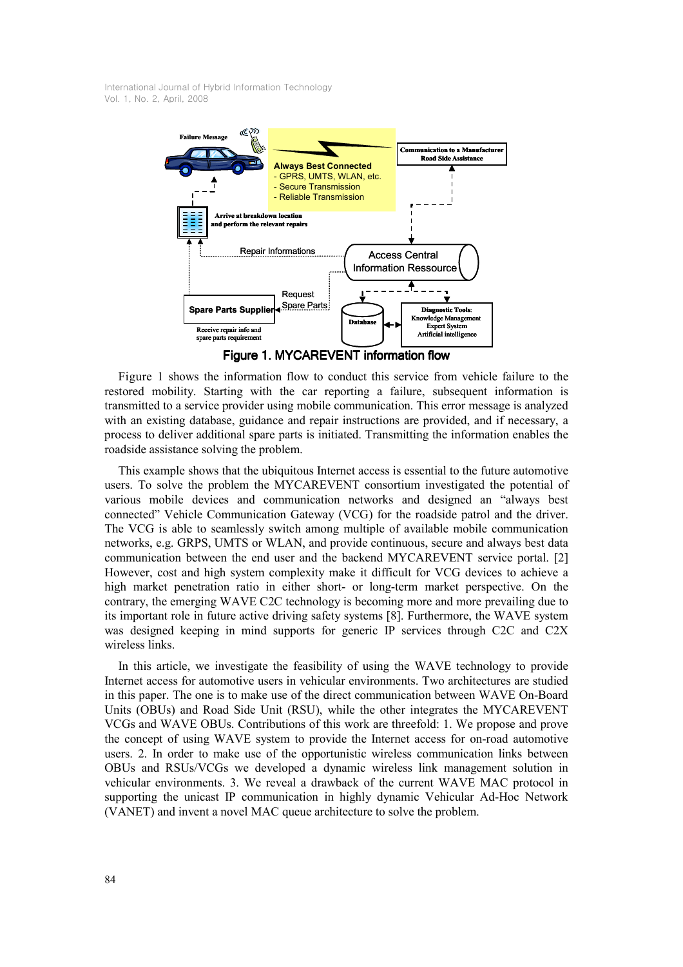

Figure 1. MYCAREVENT information flow

Figure 1 shows the information flow to conduct this service from vehicle failure to the restored mobility. Starting with the car reporting a failure, subsequent information is transmitted to a service provider using mobile communication. This error message is analyzed with an existing database, guidance and repair instructions are provided, and if necessary, a process to deliver additional spare parts is initiated. Transmitting the information enables the roadside assistance solving the problem.

This example shows that the ubiquitous Internet access is essential to the future automotive users. To solve the problem the MYCAREVENT consortium investigated the potential of various mobile devices and communication networks and designed an "always best connected" Vehicle Communication Gateway (VCG) for the roadside patrol and the driver. The VCG is able to seamlessly switch among multiple of available mobile communication networks, e.g. GRPS, UMTS or WLAN, and provide continuous, secure and always best data communication between the end user and the backend MYCAREVENT service portal. [2] However, cost and high system complexity make it difficult for VCG devices to achieve a high market penetration ratio in either short- or long-term market perspective. On the contrary, the emerging WAVE C2C technology is becoming more and more prevailing due to its important role in future active driving safety systems [8]. Furthermore, the WAVE system was designed keeping in mind supports for generic IP services through C2C and C2X wireless links.

In this article, we investigate the feasibility of using the WAVE technology to provide Internet access for automotive users in vehicular environments. Two architectures are studied in this paper. The one is to make use of the direct communication between WAVE On-Board Units (OBUs) and Road Side Unit (RSU), while the other integrates the MYCAREVENT VCGs and WAVE OBUs. Contributions of this work are threefold: 1. We propose and prove the concept of using WAVE system to provide the Internet access for on-road automotive users. 2. In order to make use of the opportunistic wireless communication links between OBUs and RSUs/VCGs we developed a dynamic wireless link management solution in vehicular environments. 3. We reveal a drawback of the current WAVE MAC protocol in supporting the unicast IP communication in highly dynamic Vehicular Ad-Hoc Network (VANET) and invent a novel MAC queue architecture to solve the problem.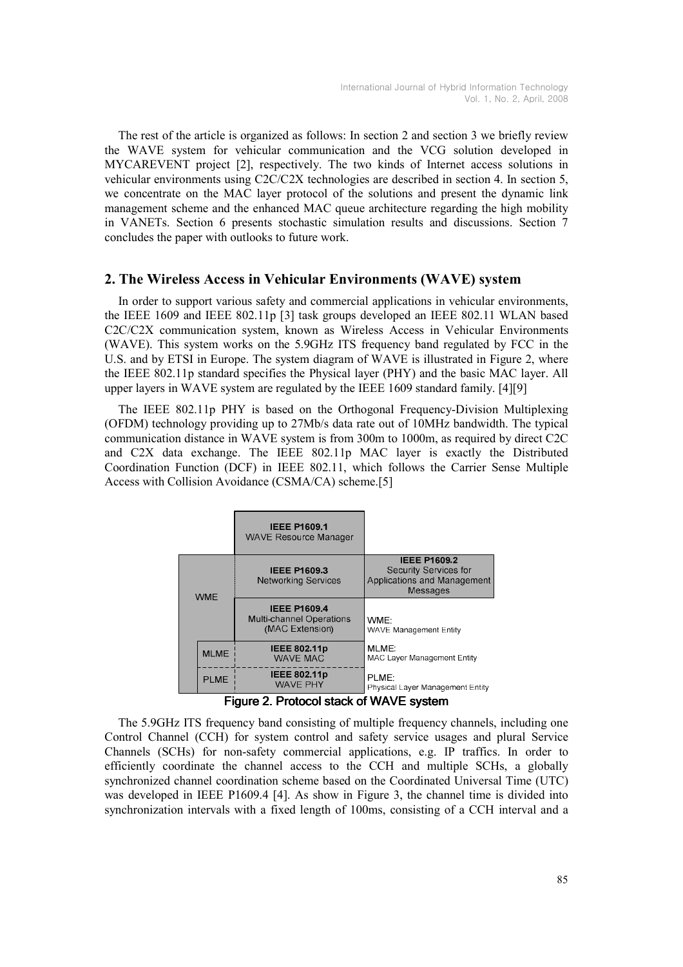The rest of the article is organized as follows: In section 2 and section 3 we briefly review the WAVE system for vehicular communication and the VCG solution developed in MYCAREVENT project [2], respectively. The two kinds of Internet access solutions in vehicular environments using C2C/C2X technologies are described in section 4. In section 5, we concentrate on the MAC layer protocol of the solutions and present the dynamic link management scheme and the enhanced MAC queue architecture regarding the high mobility in VANETs. Section 6 presents stochastic simulation results and discussions. Section 7 concludes the paper with outlooks to future work.

### 2. The Wireless Access in Vehicular Environments (WAVE) system

In order to support various safety and commercial applications in vehicular environments, the IEEE 1609 and IEEE 802.11p [3] task groups developed an IEEE 802.11 WLAN based C2C/C2X communication system, known as Wireless Access in Vehicular Environments (WAVE). This system works on the 5.9GHz ITS frequency band regulated by FCC in the U.S. and by ETSI in Europe. The system diagram of WAVE is illustrated in Figure 2, where the IEEE 802.11p standard specifies the Physical layer (PHY) and the basic MAC layer. All upper layers in WAVE system are regulated by the IEEE 1609 standard family. [4][9]

The IEEE 802.11p PHY is based on the Orthogonal Frequency-Division Multiplexing (OFDM) technology providing up to 27Mb/s data rate out of 10MHz bandwidth. The typical communication distance in WAVE system is from 300m to 1000m, as required by direct C2C and C2X data exchange. The IEEE 802.11p MAC layer is exactly the Distributed Coordination Function (DCF) in IEEE 802.11, which follows the Carrier Sense Multiple Access with Collision Avoidance (CSMA/CA) scheme.[5]



The 5.9GHz ITS frequency band consisting of multiple frequency channels, including one Control Channel (CCH) for system control and safety service usages and plural Service Channels (SCHs) for non-safety commercial applications, e.g. IP traffics. In order to efficiently coordinate the channel access to the CCH and multiple SCHs, a globally synchronized channel coordination scheme based on the Coordinated Universal Time (UTC) was developed in IEEE P1609.4 [4]. As show in Figure 3, the channel time is divided into synchronization intervals with a fixed length of 100ms, consisting of a CCH interval and a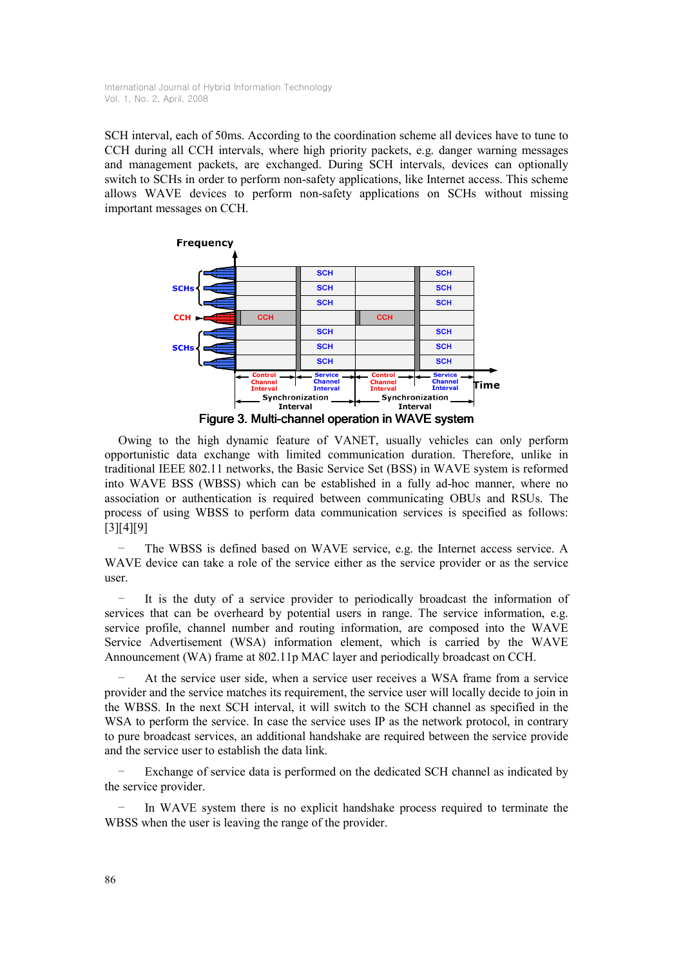SCH interval, each of 50ms. According to the coordination scheme all devices have to tune to CCH during all CCH intervals, where high priority packets, e.g. danger warning messages and management packets, are exchanged. During SCH intervals, devices can optionally switch to SCHs in order to perform non-safety applications, like Internet access. This scheme allows WAVE devices to perform non-safety applications on SCHs without missing important messages on CCH.



Owing to the high dynamic feature of VANET, usually vehicles can only perform opportunistic data exchange with limited communication duration. Therefore, unlike in traditional IEEE 802.11 networks, the Basic Service Set (BSS) in WAVE system is reformed into WAVE BSS (WBSS) which can be established in a fully ad-hoc manner, where no association or authentication is required between communicating OBUs and RSUs. The process of using WBSS to perform data communication services is specified as follows: [3][4][9]

– The WBSS is defined based on WAVE service, e.g. the Internet access service. A WAVE device can take a role of the service either as the service provider or as the service user.

It is the duty of a service provider to periodically broadcast the information of services that can be overheard by potential users in range. The service information, e.g. service profile, channel number and routing information, are composed into the WAVE Service Advertisement (WSA) information element, which is carried by the WAVE Announcement (WA) frame at 802.11p MAC layer and periodically broadcast on CCH.

– At the service user side, when a service user receives a WSA frame from a service provider and the service matches its requirement, the service user will locally decide to join in the WBSS. In the next SCH interval, it will switch to the SCH channel as specified in the WSA to perform the service. In case the service uses IP as the network protocol, in contrary to pure broadcast services, an additional handshake are required between the service provide and the service user to establish the data link.

– Exchange of service data is performed on the dedicated SCH channel as indicated by the service provider.

– In WAVE system there is no explicit handshake process required to terminate the WBSS when the user is leaving the range of the provider.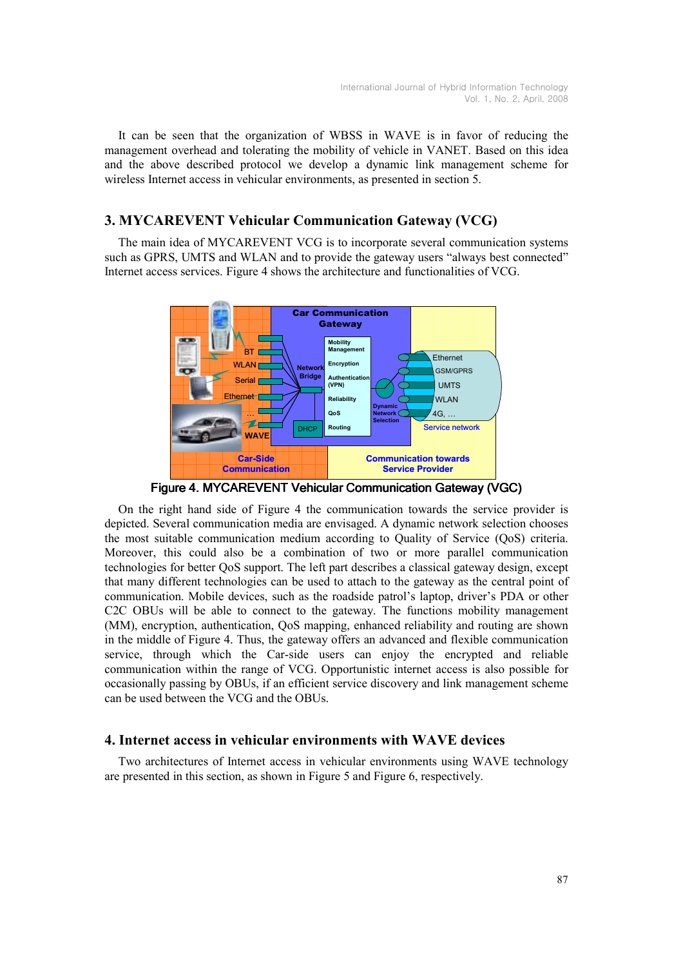It can be seen that the organization of WBSS in WAVE is in favor of reducing the management overhead and tolerating the mobility of vehicle in VANET. Based on this idea and the above described protocol we develop a dynamic link management scheme for wireless Internet access in vehicular environments, as presented in section 5.

# 3. MYCAREVENT Vehicular Communication Gateway (VCG)

The main idea of MYCAREVENT VCG is to incorporate several communication systems such as GPRS, UMTS and WLAN and to provide the gateway users "always best connected" Internet access services. Figure 4 shows the architecture and functionalities of VCG.



Figure 4. MYCAREVENT Vehicular Communication Gateway (VGC)

On the right hand side of Figure 4 the communication towards the service provider is depicted. Several communication media are envisaged. A dynamic network selection chooses the most suitable communication medium according to Quality of Service (QoS) criteria. Moreover, this could also be a combination of two or more parallel communication technologies for better QoS support. The left part describes a classical gateway design, except that many different technologies can be used to attach to the gateway as the central point of communication. Mobile devices, such as the roadside patrol's laptop, driver's PDA or other C2C OBUs will be able to connect to the gateway. The functions mobility management (MM), encryption, authentication, QoS mapping, enhanced reliability and routing are shown in the middle of Figure 4. Thus, the gateway offers an advanced and flexible communication service, through which the Car-side users can enjoy the encrypted and reliable communication within the range of VCG. Opportunistic internet access is also possible for occasionally passing by OBUs, if an efficient service discovery and link management scheme can be used between the VCG and the OBUs.

## 4. Internet access in vehicular environments with WAVE devices

Two architectures of Internet access in vehicular environments using WAVE technology are presented in this section, as shown in Figure 5 and Figure 6, respectively.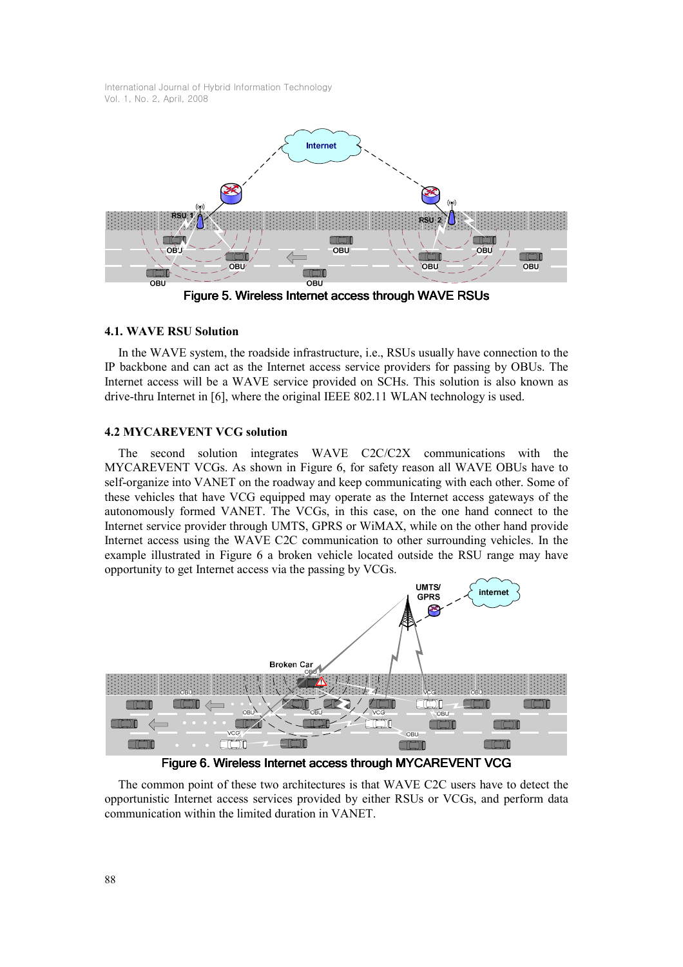

Figure 5. Wireless Internet access through WAVE RSUs

#### 4.1. WAVE RSU Solution

In the WAVE system, the roadside infrastructure, i.e., RSUs usually have connection to the IP backbone and can act as the Internet access service providers for passing by OBUs. The Internet access will be a WAVE service provided on SCHs. This solution is also known as drive-thru Internet in [6], where the original IEEE 802.11 WLAN technology is used.

#### 4.2 MYCAREVENT VCG solution

The second solution integrates WAVE C2C/C2X communications with the MYCAREVENT VCGs. As shown in Figure 6, for safety reason all WAVE OBUs have to self-organize into VANET on the roadway and keep communicating with each other. Some of these vehicles that have VCG equipped may operate as the Internet access gateways of the autonomously formed VANET. The VCGs, in this case, on the one hand connect to the Internet service provider through UMTS, GPRS or WiMAX, while on the other hand provide Internet access using the WAVE C2C communication to other surrounding vehicles. In the example illustrated in Figure 6 a broken vehicle located outside the RSU range may have opportunity to get Internet access via the passing by VCGs.



The common point of these two architectures is that WAVE C2C users have to detect the opportunistic Internet access services provided by either RSUs or VCGs, and perform data communication within the limited duration in VANET.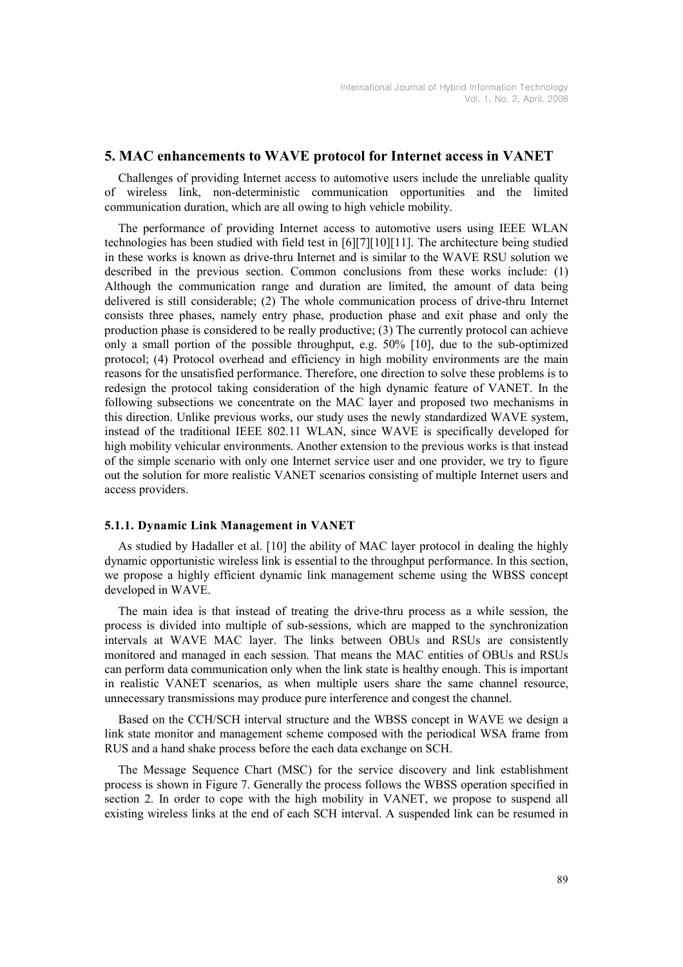### 5. MAC enhancements to WAVE protocol for Internet access in VANET

Challenges of providing Internet access to automotive users include the unreliable quality of wireless link, non-deterministic communication opportunities and the limited communication duration, which are all owing to high vehicle mobility.

The performance of providing Internet access to automotive users using IEEE WLAN technologies has been studied with field test in [6][7][10][11]. The architecture being studied in these works is known as drive-thru Internet and is similar to the WAVE RSU solution we described in the previous section. Common conclusions from these works include: (1) Although the communication range and duration are limited, the amount of data being delivered is still considerable; (2) The whole communication process of drive-thru Internet consists three phases, namely entry phase, production phase and exit phase and only the production phase is considered to be really productive; (3) The currently protocol can achieve only a small portion of the possible throughput, e.g. 50% [10], due to the sub-optimized protocol; (4) Protocol overhead and efficiency in high mobility environments are the main reasons for the unsatisfied performance. Therefore, one direction to solve these problems is to redesign the protocol taking consideration of the high dynamic feature of VANET. In the following subsections we concentrate on the MAC layer and proposed two mechanisms in this direction. Unlike previous works, our study uses the newly standardized WAVE system, instead of the traditional IEEE 802.11 WLAN, since WAVE is specifically developed for high mobility vehicular environments. Another extension to the previous works is that instead of the simple scenario with only one Internet service user and one provider, we try to figure out the solution for more realistic VANET scenarios consisting of multiple Internet users and access providers.

#### 5.1.1. Dynamic Link Management in VANET

As studied by Hadaller et al. [10] the ability of MAC layer protocol in dealing the highly dynamic opportunistic wireless link is essential to the throughput performance. In this section, we propose a highly efficient dynamic link management scheme using the WBSS concept developed in WAVE.

The main idea is that instead of treating the drive-thru process as a while session, the process is divided into multiple of sub-sessions, which are mapped to the synchronization intervals at WAVE MAC layer. The links between OBUs and RSUs are consistently monitored and managed in each session. That means the MAC entities of OBUs and RSUs can perform data communication only when the link state is healthy enough. This is important in realistic VANET scenarios, as when multiple users share the same channel resource, unnecessary transmissions may produce pure interference and congest the channel.

Based on the CCH/SCH interval structure and the WBSS concept in WAVE we design a link state monitor and management scheme composed with the periodical WSA frame from RUS and a hand shake process before the each data exchange on SCH.

The Message Sequence Chart (MSC) for the service discovery and link establishment process is shown in Figure 7. Generally the process follows the WBSS operation specified in section 2. In order to cope with the high mobility in VANET, we propose to suspend all existing wireless links at the end of each SCH interval. A suspended link can be resumed in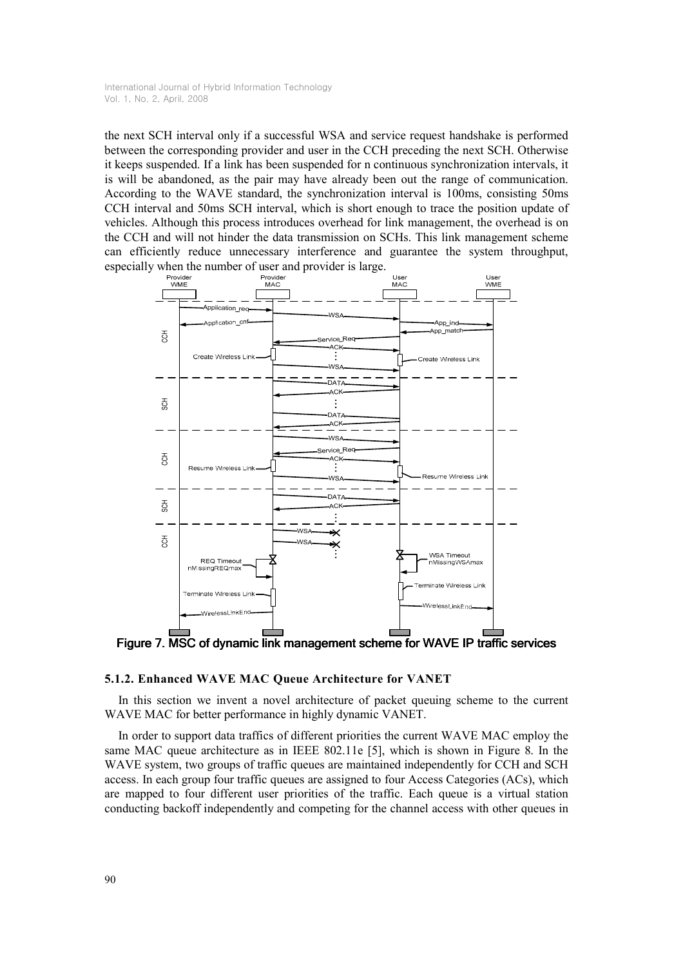the next SCH interval only if a successful WSA and service request handshake is performed between the corresponding provider and user in the CCH preceding the next SCH. Otherwise it keeps suspended. If a link has been suspended for n continuous synchronization intervals, it is will be abandoned, as the pair may have already been out the range of communication. According to the WAVE standard, the synchronization interval is 100ms, consisting 50ms CCH interval and 50ms SCH interval, which is short enough to trace the position update of vehicles. Although this process introduces overhead for link management, the overhead is on the CCH and will not hinder the data transmission on SCHs. This link management scheme can efficiently reduce unnecessary interference and guarantee the system throughput,



Figure 7. MSC of dynamic link management scheme for WAVE IP traffic services

#### 5.1.2. Enhanced WAVE MAC Queue Architecture for VANET

In this section we invent a novel architecture of packet queuing scheme to the current WAVE MAC for better performance in highly dynamic VANET.

In order to support data traffics of different priorities the current WAVE MAC employ the same MAC queue architecture as in IEEE 802.11e [5], which is shown in Figure 8. In the WAVE system, two groups of traffic queues are maintained independently for CCH and SCH access. In each group four traffic queues are assigned to four Access Categories (ACs), which are mapped to four different user priorities of the traffic. Each queue is a virtual station conducting backoff independently and competing for the channel access with other queues in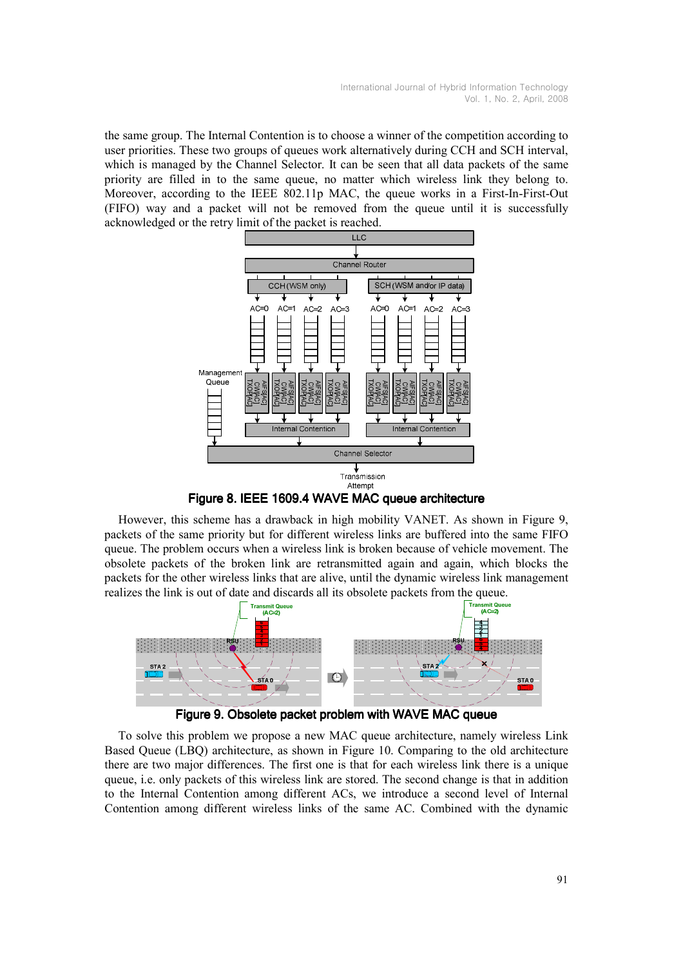the same group. The Internal Contention is to choose a winner of the competition according to user priorities. These two groups of queues work alternatively during CCH and SCH interval, which is managed by the Channel Selector. It can be seen that all data packets of the same priority are filled in to the same queue, no matter which wireless link they belong to. Moreover, according to the IEEE 802.11p MAC, the queue works in a First-In-First-Out (FIFO) way and a packet will not be removed from the queue until it is successfully acknowledged or the retry limit of the packet is reached.



Figure 8. IEEE 1609.4 WAVE MAC queue architecture

However, this scheme has a drawback in high mobility VANET. As shown in Figure 9, packets of the same priority but for different wireless links are buffered into the same FIFO queue. The problem occurs when a wireless link is broken because of vehicle movement. The obsolete packets of the broken link are retransmitted again and again, which blocks the packets for the other wireless links that are alive, until the dynamic wireless link management realizes the link is out of date and discards all its obsolete packets from the queue.





To solve this problem we propose a new MAC queue architecture, namely wireless Link Based Queue (LBQ) architecture, as shown in Figure 10. Comparing to the old architecture there are two major differences. The first one is that for each wireless link there is a unique queue, i.e. only packets of this wireless link are stored. The second change is that in addition to the Internal Contention among different ACs, we introduce a second level of Internal Contention among different wireless links of the same AC. Combined with the dynamic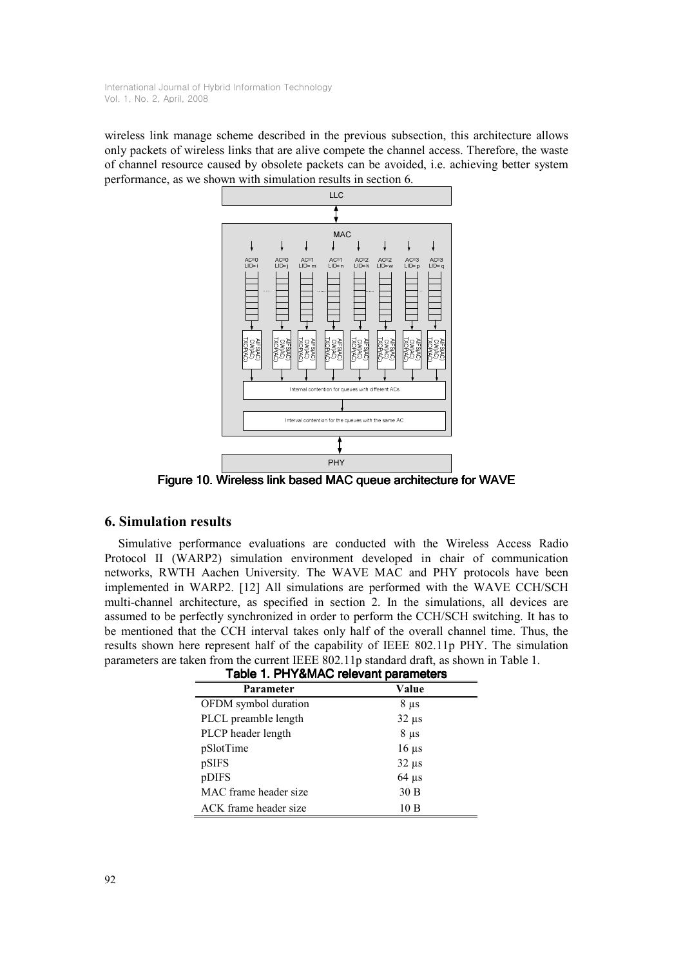wireless link manage scheme described in the previous subsection, this architecture allows only packets of wireless links that are alive compete the channel access. Therefore, the waste of channel resource caused by obsolete packets can be avoided, i.e. achieving better system performance, as we shown with simulation results in section 6.



Figure 10. Wireless link based MAC queue architecture for WAVE

### 6. Simulation results

Simulative performance evaluations are conducted with the Wireless Access Radio Protocol II (WARP2) simulation environment developed in chair of communication networks, RWTH Aachen University. The WAVE MAC and PHY protocols have been implemented in WARP2. [12] All simulations are performed with the WAVE CCH/SCH multi-channel architecture, as specified in section 2. In the simulations, all devices are assumed to be perfectly synchronized in order to perform the CCH/SCH switching. It has to be mentioned that the CCH interval takes only half of the overall channel time. Thus, the results shown here represent half of the capability of IEEE 802.11p PHY. The simulation parameters are taken from the current IEEE 802.11p standard draft, as shown in Table 1.

| Table 1. PHY&MAC relevant parameters |            |
|--------------------------------------|------------|
| Parameter                            | Value      |
| OFDM symbol duration                 | $8 \mu s$  |
| PLCL preamble length                 | $32 \mu s$ |
| PLCP header length                   | $8 \mu s$  |
| pSlotTime                            | $16 \mu s$ |
| pSIFS                                | $32 \mu s$ |
| pDIFS                                | $64 \mu s$ |
| MAC frame header size                | 30B        |
| ACK frame header size                | 10B        |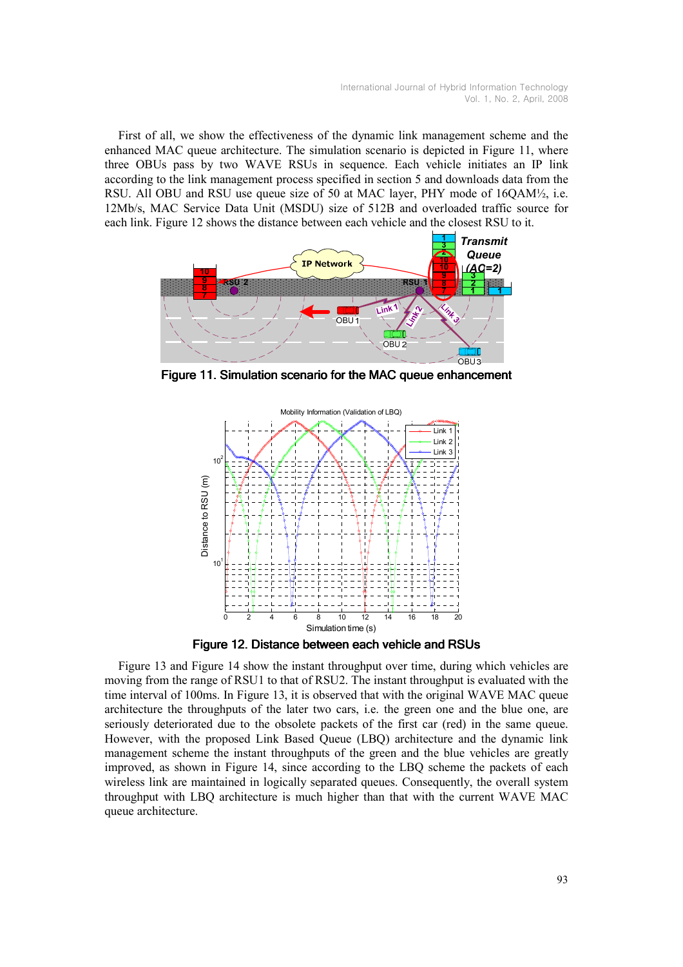First of all, we show the effectiveness of the dynamic link management scheme and the enhanced MAC queue architecture. The simulation scenario is depicted in Figure 11, where three OBUs pass by two WAVE RSUs in sequence. Each vehicle initiates an IP link according to the link management process specified in section 5 and downloads data from the RSU. All OBU and RSU use queue size of 50 at MAC layer, PHY mode of 16QAM½, i.e. 12Mb/s, MAC Service Data Unit (MSDU) size of 512B and overloaded traffic source for each link. Figure 12 shows the distance between each vehicle and the closest RSU to it.



Figure 11. Simulation scenario for the MAC queue enhancement



Figure 12. Distance between each vehicle and RSUs

Figure 13 and Figure 14 show the instant throughput over time, during which vehicles are moving from the range of RSU1 to that of RSU2. The instant throughput is evaluated with the time interval of 100ms. In Figure 13, it is observed that with the original WAVE MAC queue architecture the throughputs of the later two cars, i.e. the green one and the blue one, are seriously deteriorated due to the obsolete packets of the first car (red) in the same queue. However, with the proposed Link Based Queue (LBQ) architecture and the dynamic link management scheme the instant throughputs of the green and the blue vehicles are greatly improved, as shown in Figure 14, since according to the LBQ scheme the packets of each wireless link are maintained in logically separated queues. Consequently, the overall system throughput with LBQ architecture is much higher than that with the current WAVE MAC queue architecture.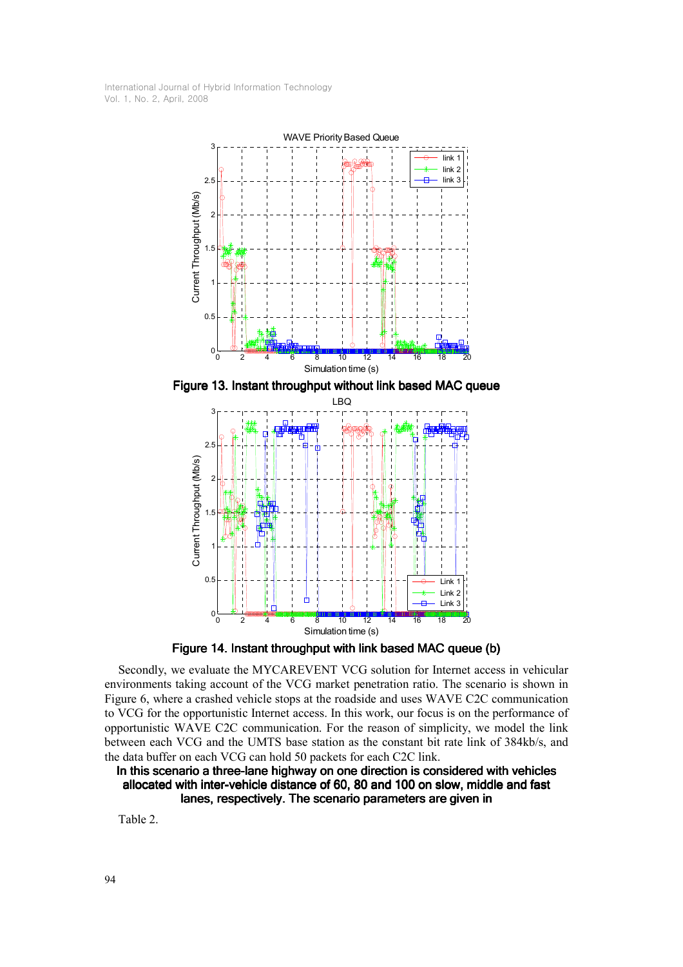

Figure 13. Instant throughput without link based MAC queue



Figure 14. Instant throughput with link based MAC queue (b)

Secondly, we evaluate the MYCAREVENT VCG solution for Internet access in vehicular environments taking account of the VCG market penetration ratio. The scenario is shown in Figure 6, where a crashed vehicle stops at the roadside and uses WAVE C2C communication to VCG for the opportunistic Internet access. In this work, our focus is on the performance of opportunistic WAVE C2C communication. For the reason of simplicity, we model the link between each VCG and the UMTS base station as the constant bit rate link of 384kb/s, and the data buffer on each VCG can hold 50 packets for each C2C link.

In this scenario a three-lane highway on one direction is considered with vehicles allocated with inter-vehicle distance of 60, 80 and 100 on slow, middle and fast lanes, respectively. The scenario parameters are given in

Table 2.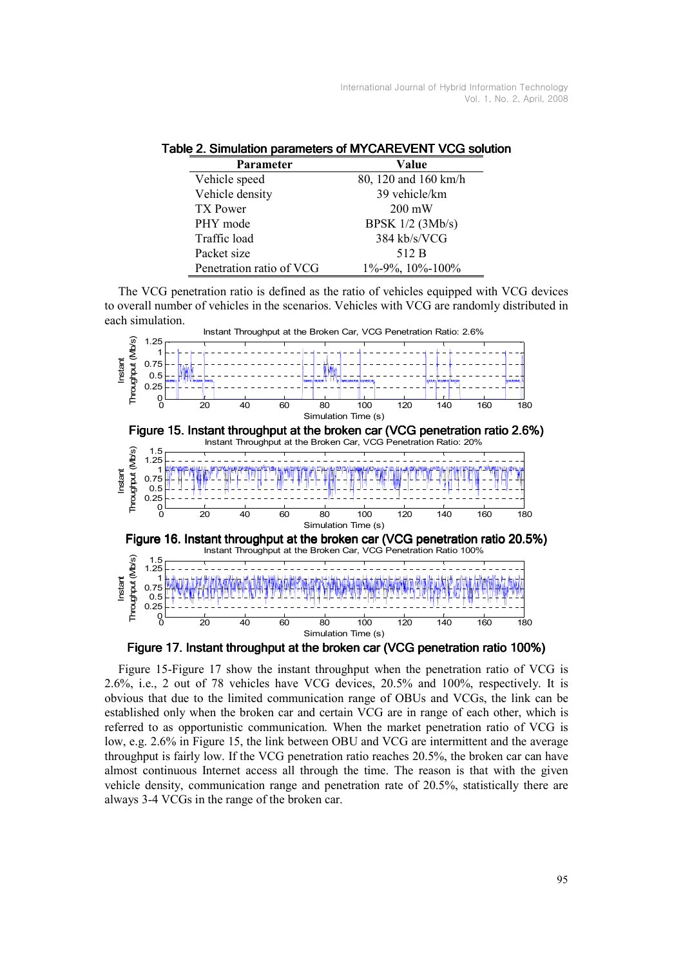Table 2. Simulation parameters of MYCAREVENT VCG solution

| Parameter                | Value                     |
|--------------------------|---------------------------|
| Vehicle speed            | 80, 120 and 160 km/h      |
| Vehicle density          | 39 vehicle/km             |
| TX Power                 | $200 \text{ mW}$          |
| PHY mode                 | BPSK 1/2 (3Mb/s)          |
| Traffic load             | 384 kb/s/VCG              |
| Packet size              | 512 B                     |
| Penetration ratio of VCG | $1\% - 9\%, 10\% - 100\%$ |

The VCG penetration ratio is defined as the ratio of vehicles equipped with VCG devices to overall number of vehicles in the scenarios. Vehicles with VCG are randomly distributed in each simulation.



Figure 17. Instant throughput at the broken car (VCG penetration ratio 100%)

Figure 15-Figure 17 show the instant throughput when the penetration ratio of VCG is 2.6%, i.e., 2 out of 78 vehicles have VCG devices, 20.5% and 100%, respectively. It is obvious that due to the limited communication range of OBUs and VCGs, the link can be established only when the broken car and certain VCG are in range of each other, which is referred to as opportunistic communication. When the market penetration ratio of VCG is low, e.g. 2.6% in Figure 15, the link between OBU and VCG are intermittent and the average throughput is fairly low. If the VCG penetration ratio reaches 20.5%, the broken car can have almost continuous Internet access all through the time. The reason is that with the given vehicle density, communication range and penetration rate of 20.5%, statistically there are always 3-4 VCGs in the range of the broken car.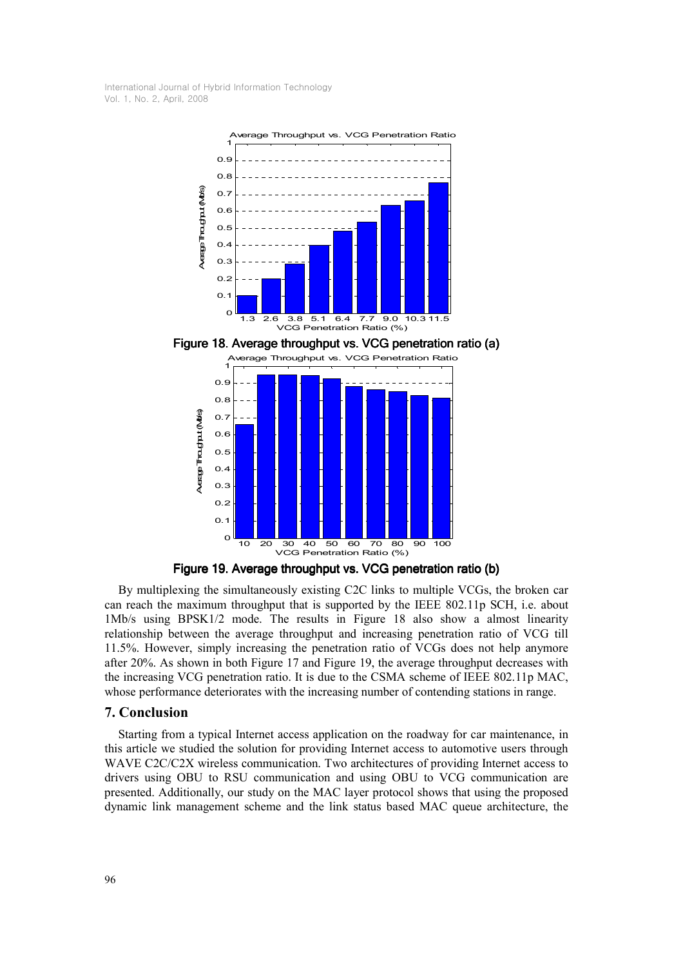

Figure 19. Average throughput vs. VCG penetration ratio (b)

By multiplexing the simultaneously existing C2C links to multiple VCGs, the broken car can reach the maximum throughput that is supported by the IEEE 802.11p SCH, i.e. about 1Mb/s using BPSK1/2 mode. The results in Figure 18 also show a almost linearity relationship between the average throughput and increasing penetration ratio of VCG till 11.5%. However, simply increasing the penetration ratio of VCGs does not help anymore after 20%. As shown in both Figure 17 and Figure 19, the average throughput decreases with the increasing VCG penetration ratio. It is due to the CSMA scheme of IEEE 802.11p MAC, whose performance deteriorates with the increasing number of contending stations in range.

#### 7. Conclusion

Starting from a typical Internet access application on the roadway for car maintenance, in this article we studied the solution for providing Internet access to automotive users through WAVE C2C/C2X wireless communication. Two architectures of providing Internet access to drivers using OBU to RSU communication and using OBU to VCG communication are presented. Additionally, our study on the MAC layer protocol shows that using the proposed dynamic link management scheme and the link status based MAC queue architecture, the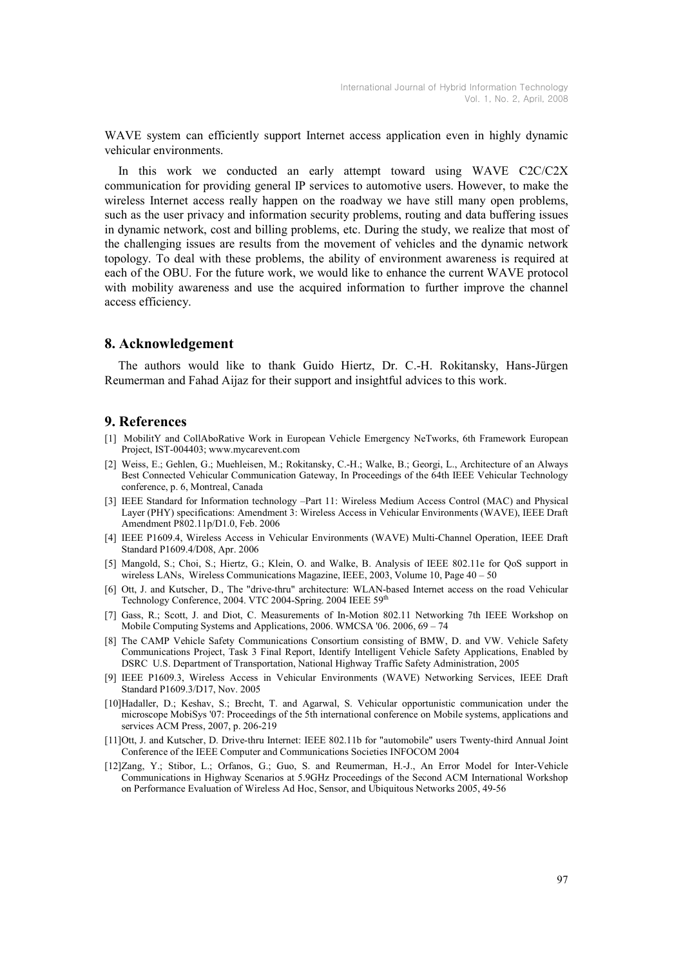WAVE system can efficiently support Internet access application even in highly dynamic vehicular environments.

In this work we conducted an early attempt toward using WAVE C2C/C2X communication for providing general IP services to automotive users. However, to make the wireless Internet access really happen on the roadway we have still many open problems, such as the user privacy and information security problems, routing and data buffering issues in dynamic network, cost and billing problems, etc. During the study, we realize that most of the challenging issues are results from the movement of vehicles and the dynamic network topology. To deal with these problems, the ability of environment awareness is required at each of the OBU. For the future work, we would like to enhance the current WAVE protocol with mobility awareness and use the acquired information to further improve the channel access efficiency.

#### 8. Acknowledgement

The authors would like to thank Guido Hiertz, Dr. C.-H. Rokitansky, Hans-Jürgen Reumerman and Fahad Aijaz for their support and insightful advices to this work.

### 9. References

- [1] MobilitY and CollAboRative Work in European Vehicle Emergency NeTworks, 6th Framework European Project, IST-004403; www.mycarevent.com
- [2] Weiss, E.; Gehlen, G.; Muehleisen, M.; Rokitansky, C.-H.; Walke, B.; Georgi, L., Architecture of an Always Best Connected Vehicular Communication Gateway, In Proceedings of the 64th IEEE Vehicular Technology conference, p. 6, Montreal, Canada
- [3] IEEE Standard for Information technology –Part 11: Wireless Medium Access Control (MAC) and Physical Layer (PHY) specifications: Amendment 3: Wireless Access in Vehicular Environments (WAVE), IEEE Draft Amendment P802.11p/D1.0, Feb. 2006
- [4] IEEE P1609.4, Wireless Access in Vehicular Environments (WAVE) Multi-Channel Operation, IEEE Draft Standard P1609.4/D08, Apr. 2006
- [5] Mangold, S.; Choi, S.; Hiertz, G.; Klein, O. and Walke, B. Analysis of IEEE 802.11e for QoS support in wireless LANs, Wireless Communications Magazine, IEEE, 2003, Volume 10, Page 40 – 50
- [6] Ott, J. and Kutscher, D., The "drive-thru" architecture: WLAN-based Internet access on the road Vehicular Technology Conference, 2004. VTC 2004-Spring. 2004 IEEE 59th
- [7] Gass, R.; Scott, J. and Diot, C. Measurements of In-Motion 802.11 Networking 7th IEEE Workshop on Mobile Computing Systems and Applications, 2006. WMCSA '06. 2006, 69 – 74
- [8] The CAMP Vehicle Safety Communications Consortium consisting of BMW, D. and VW. Vehicle Safety Communications Project, Task 3 Final Report, Identify Intelligent Vehicle Safety Applications, Enabled by DSRC U.S. Department of Transportation, National Highway Traffic Safety Administration, 2005
- [9] IEEE P1609.3, Wireless Access in Vehicular Environments (WAVE) Networking Services, IEEE Draft Standard P1609.3/D17, Nov. 2005
- [10]Hadaller, D.; Keshav, S.; Brecht, T. and Agarwal, S. Vehicular opportunistic communication under the microscope MobiSys '07: Proceedings of the 5th international conference on Mobile systems, applications and services ACM Press, 2007, p. 206-219
- [11]Ott, J. and Kutscher, D. Drive-thru Internet: IEEE 802.11b for "automobile" users Twenty-third Annual Joint Conference of the IEEE Computer and Communications Societies INFOCOM 2004
- [12]Zang, Y.; Stibor, L.; Orfanos, G.; Guo, S. and Reumerman, H.-J., An Error Model for Inter-Vehicle Communications in Highway Scenarios at 5.9GHz Proceedings of the Second ACM International Workshop on Performance Evaluation of Wireless Ad Hoc, Sensor, and Ubiquitous Networks 2005, 49-56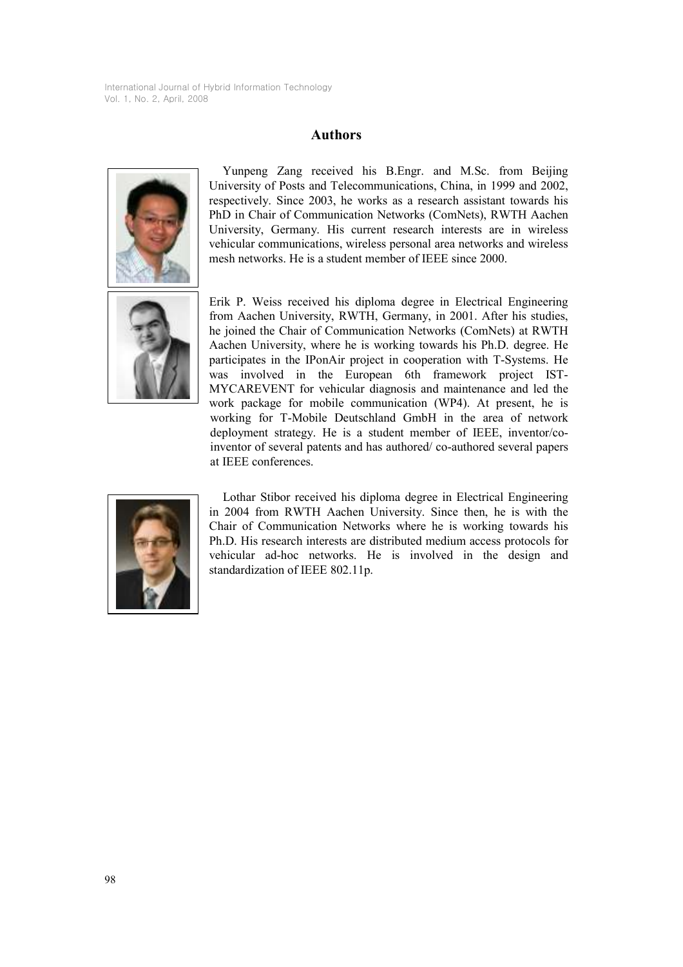### Authors



Yunpeng Zang received his B.Engr. and M.Sc. from Beijing University of Posts and Telecommunications, China, in 1999 and 2002, respectively. Since 2003, he works as a research assistant towards his PhD in Chair of Communication Networks (ComNets), RWTH Aachen University, Germany. His current research interests are in wireless vehicular communications, wireless personal area networks and wireless mesh networks. He is a student member of IEEE since 2000.



Erik P. Weiss received his diploma degree in Electrical Engineering from Aachen University, RWTH, Germany, in 2001. After his studies, he joined the Chair of Communication Networks (ComNets) at RWTH Aachen University, where he is working towards his Ph.D. degree. He participates in the IPonAir project in cooperation with T-Systems. He was involved in the European 6th framework project IST-MYCAREVENT for vehicular diagnosis and maintenance and led the work package for mobile communication (WP4). At present, he is working for T-Mobile Deutschland GmbH in the area of network deployment strategy. He is a student member of IEEE, inventor/coinventor of several patents and has authored/ co-authored several papers at IEEE conferences.



Lothar Stibor received his diploma degree in Electrical Engineering in 2004 from RWTH Aachen University. Since then, he is with the Chair of Communication Networks where he is working towards his Ph.D. His research interests are distributed medium access protocols for vehicular ad-hoc networks. He is involved in the design and standardization of IEEE 802.11p.